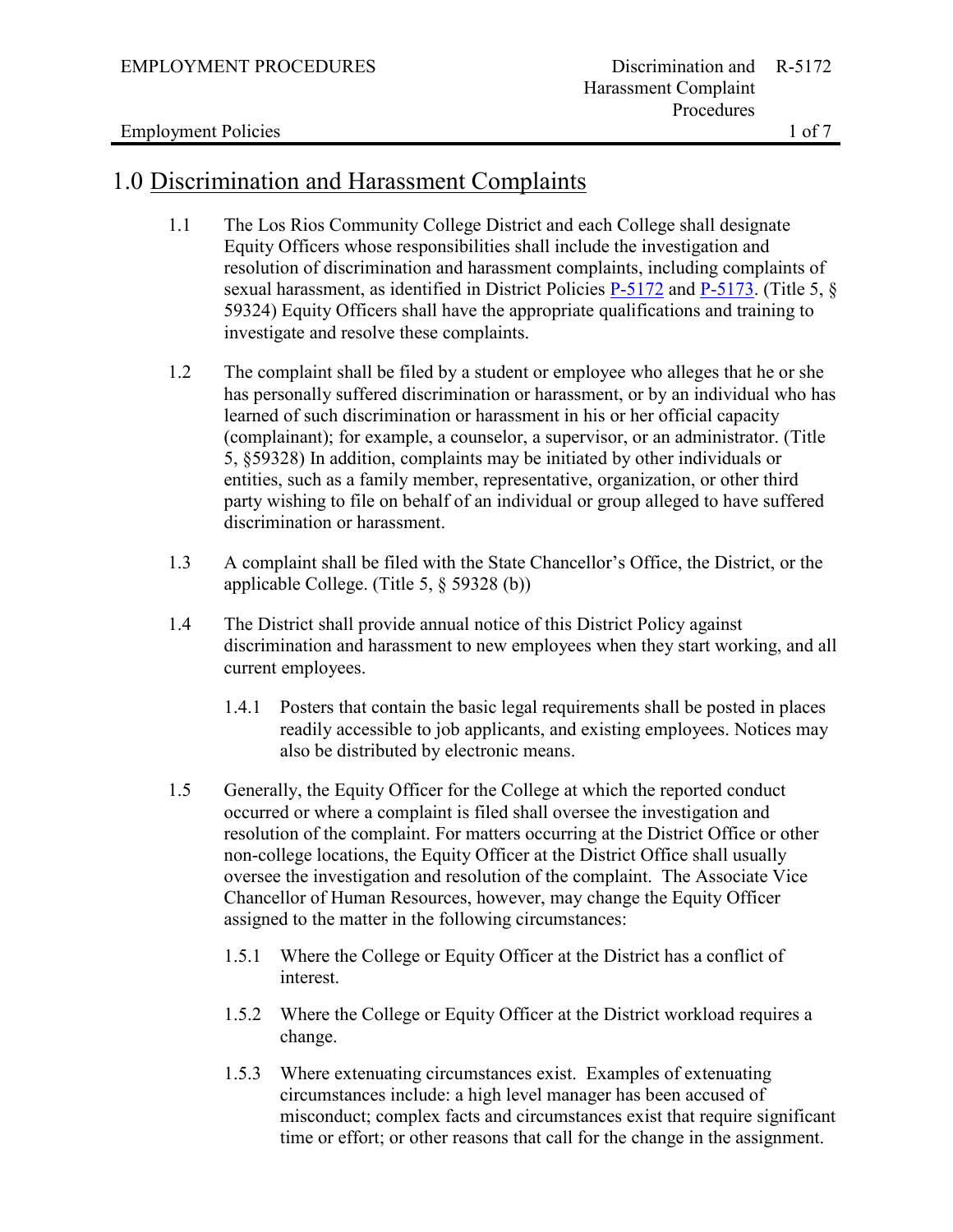# 1.0 Discrimination and Harassment Complaints

- 1.1 The Los Rios Community College District and each College shall designate Equity Officers whose responsibilities shall include the investigation and resolution of discrimination and harassment complaints, including complaints of sexual harassment, as identified in District Policies [P-5172](https://losrios.edu/docs/lrccd/board/policies/P-5172.pdf) and [P-5173.](https://losrios.edu/docs/lrccd/board/policies/P-5173.pdf) (Title 5, § 59324) Equity Officers shall have the appropriate qualifications and training to investigate and resolve these complaints.
- 1.2 The complaint shall be filed by a student or employee who alleges that he or she has personally suffered discrimination or harassment, or by an individual who has learned of such discrimination or harassment in his or her official capacity (complainant); for example, a counselor, a supervisor, or an administrator. (Title 5, §59328) In addition, complaints may be initiated by other individuals or entities, such as a family member, representative, organization, or other third party wishing to file on behalf of an individual or group alleged to have suffered discrimination or harassment.
- 1.3 A complaint shall be filed with the State Chancellor's Office, the District, or the applicable College. (Title 5, § 59328 (b))
- 1.4 The District shall provide annual notice of this District Policy against discrimination and harassment to new employees when they start working, and all current employees.
	- 1.4.1 Posters that contain the basic legal requirements shall be posted in places readily accessible to job applicants, and existing employees. Notices may also be distributed by electronic means.
- 1.5 Generally, the Equity Officer for the College at which the reported conduct occurred or where a complaint is filed shall oversee the investigation and resolution of the complaint. For matters occurring at the District Office or other non-college locations, the Equity Officer at the District Office shall usually oversee the investigation and resolution of the complaint. The Associate Vice Chancellor of Human Resources, however, may change the Equity Officer assigned to the matter in the following circumstances:
	- 1.5.1 Where the College or Equity Officer at the District has a conflict of interest.
	- 1.5.2 Where the College or Equity Officer at the District workload requires a change.
	- 1.5.3 Where extenuating circumstances exist. Examples of extenuating circumstances include: a high level manager has been accused of misconduct; complex facts and circumstances exist that require significant time or effort; or other reasons that call for the change in the assignment.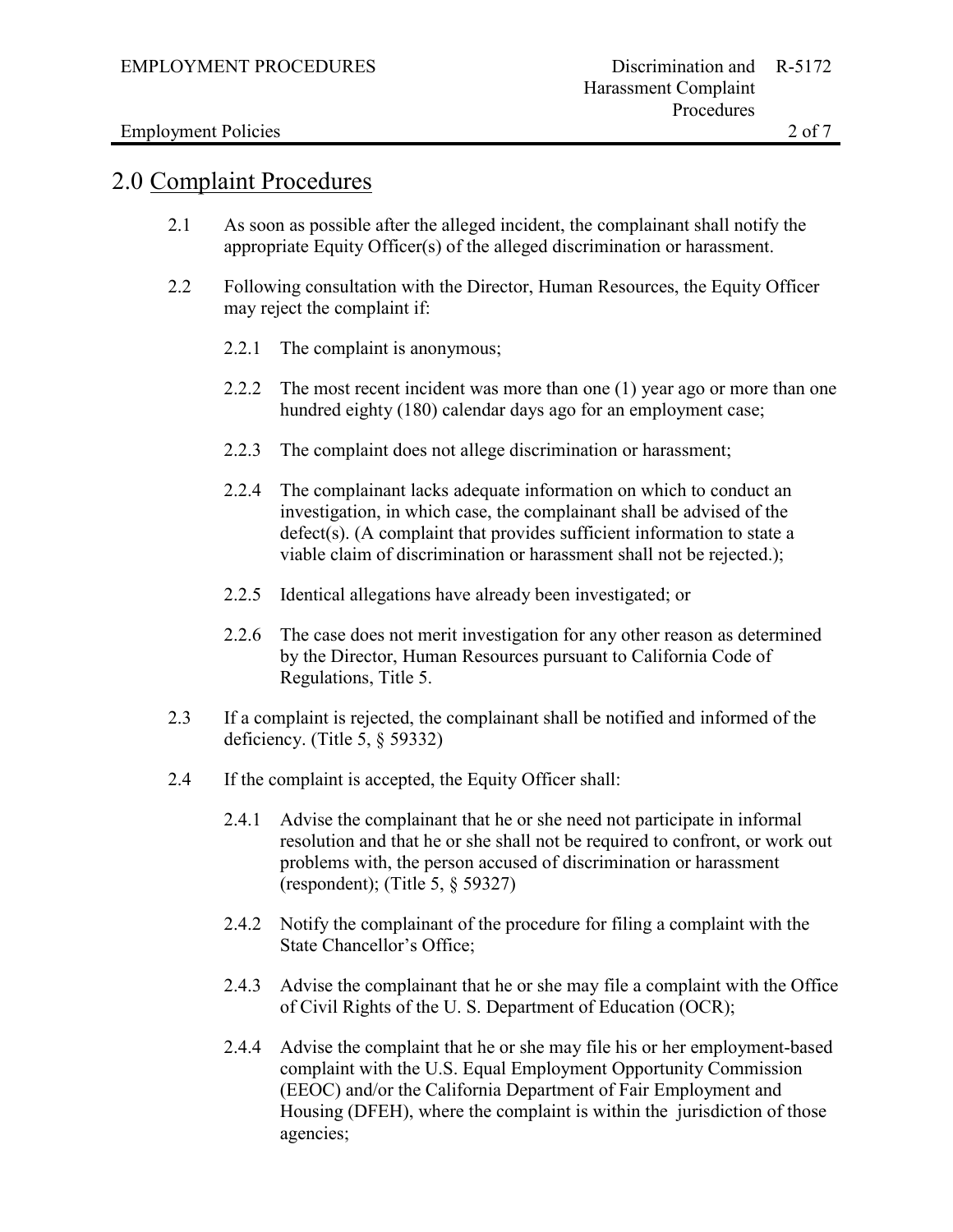#### Employment Policies 2 of 7

### 2.0 Complaint Procedures

- 2.1 As soon as possible after the alleged incident, the complainant shall notify the appropriate Equity Officer(s) of the alleged discrimination or harassment.
- 2.2 Following consultation with the Director, Human Resources, the Equity Officer may reject the complaint if:
	- 2.2.1 The complaint is anonymous;
	- 2.2.2 The most recent incident was more than one (1) year ago or more than one hundred eighty (180) calendar days ago for an employment case;
	- 2.2.3 The complaint does not allege discrimination or harassment;
	- 2.2.4 The complainant lacks adequate information on which to conduct an investigation, in which case, the complainant shall be advised of the defect(s). (A complaint that provides sufficient information to state a viable claim of discrimination or harassment shall not be rejected.);
	- 2.2.5 Identical allegations have already been investigated; or
	- 2.2.6 The case does not merit investigation for any other reason as determined by the Director, Human Resources pursuant to California Code of Regulations, Title 5.
- 2.3 If a complaint is rejected, the complainant shall be notified and informed of the deficiency. (Title 5, § 59332)
- 2.4 If the complaint is accepted, the Equity Officer shall:
	- 2.4.1 Advise the complainant that he or she need not participate in informal resolution and that he or she shall not be required to confront, or work out problems with, the person accused of discrimination or harassment (respondent); (Title 5, § 59327)
	- 2.4.2 Notify the complainant of the procedure for filing a complaint with the State Chancellor's Office;
	- 2.4.3 Advise the complainant that he or she may file a complaint with the Office of Civil Rights of the U. S. Department of Education (OCR);
	- 2.4.4 Advise the complaint that he or she may file his or her employment-based complaint with the U.S. Equal Employment Opportunity Commission (EEOC) and/or the California Department of Fair Employment and Housing (DFEH), where the complaint is within the jurisdiction of those agencies;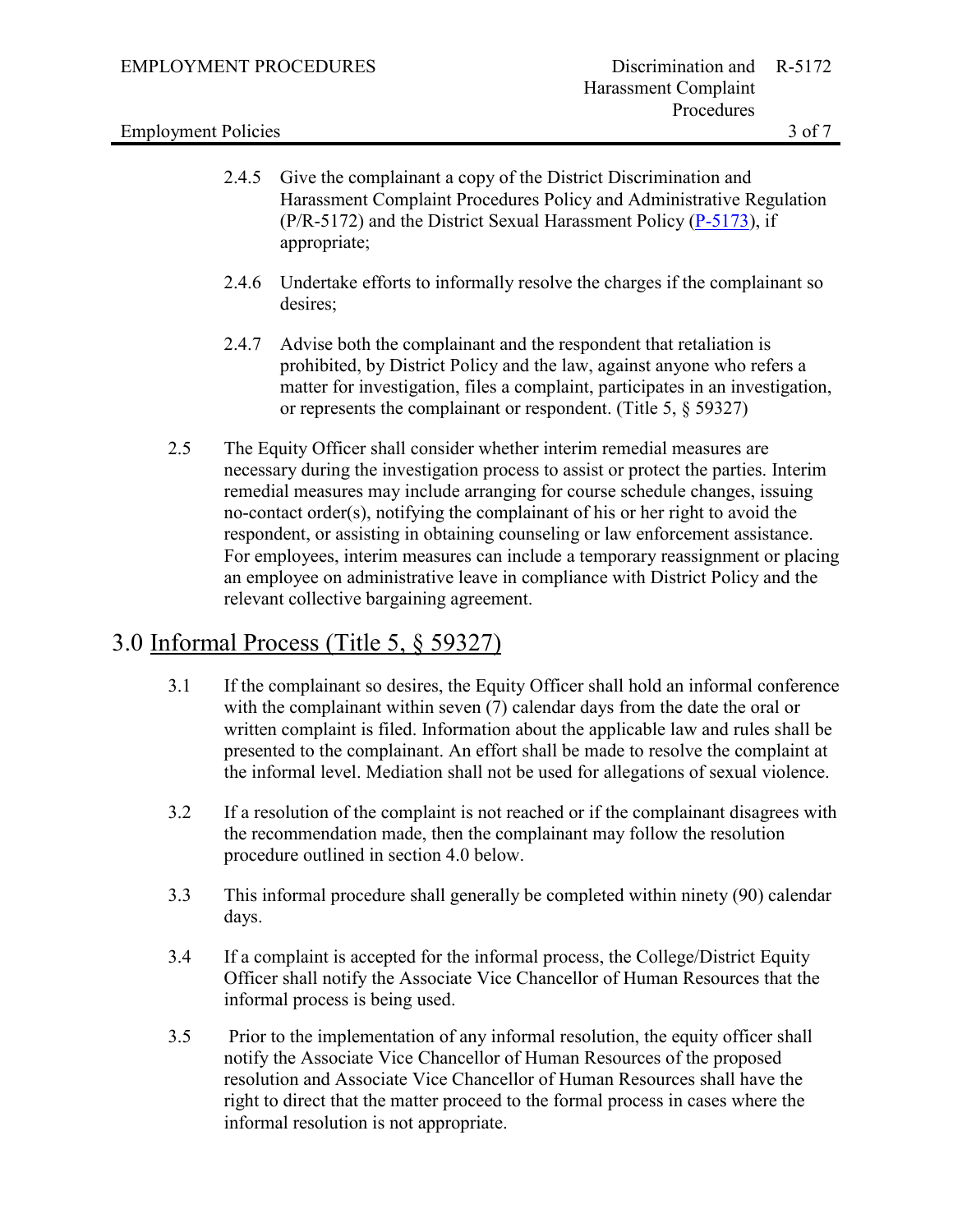### Employment Policies 3 of 7

- 2.4.5 Give the complainant a copy of the District Discrimination and Harassment Complaint Procedures Policy and Administrative Regulation (P/R-5172) and the District Sexual Harassment Policy [\(P-5173\)](https://losrios.edu/docs/lrccd/board/policies/P-5173.pdf), if appropriate;
- 2.4.6 Undertake efforts to informally resolve the charges if the complainant so desires;
- 2.4.7 Advise both the complainant and the respondent that retaliation is prohibited, by District Policy and the law, against anyone who refers a matter for investigation, files a complaint, participates in an investigation, or represents the complainant or respondent. (Title 5, § 59327)
- 2.5 The Equity Officer shall consider whether interim remedial measures are necessary during the investigation process to assist or protect the parties. Interim remedial measures may include arranging for course schedule changes, issuing no-contact order(s), notifying the complainant of his or her right to avoid the respondent, or assisting in obtaining counseling or law enforcement assistance. For employees, interim measures can include a temporary reassignment or placing an employee on administrative leave in compliance with District Policy and the relevant collective bargaining agreement.

# 3.0 Informal Process (Title 5, § 59327)

- 3.1 If the complainant so desires, the Equity Officer shall hold an informal conference with the complainant within seven (7) calendar days from the date the oral or written complaint is filed. Information about the applicable law and rules shall be presented to the complainant. An effort shall be made to resolve the complaint at the informal level. Mediation shall not be used for allegations of sexual violence.
- 3.2 If a resolution of the complaint is not reached or if the complainant disagrees with the recommendation made, then the complainant may follow the resolution procedure outlined in section 4.0 below.
- 3.3 This informal procedure shall generally be completed within ninety (90) calendar days.
- 3.4 If a complaint is accepted for the informal process, the College/District Equity Officer shall notify the Associate Vice Chancellor of Human Resources that the informal process is being used.
- 3.5 Prior to the implementation of any informal resolution, the equity officer shall notify the Associate Vice Chancellor of Human Resources of the proposed resolution and Associate Vice Chancellor of Human Resources shall have the right to direct that the matter proceed to the formal process in cases where the informal resolution is not appropriate.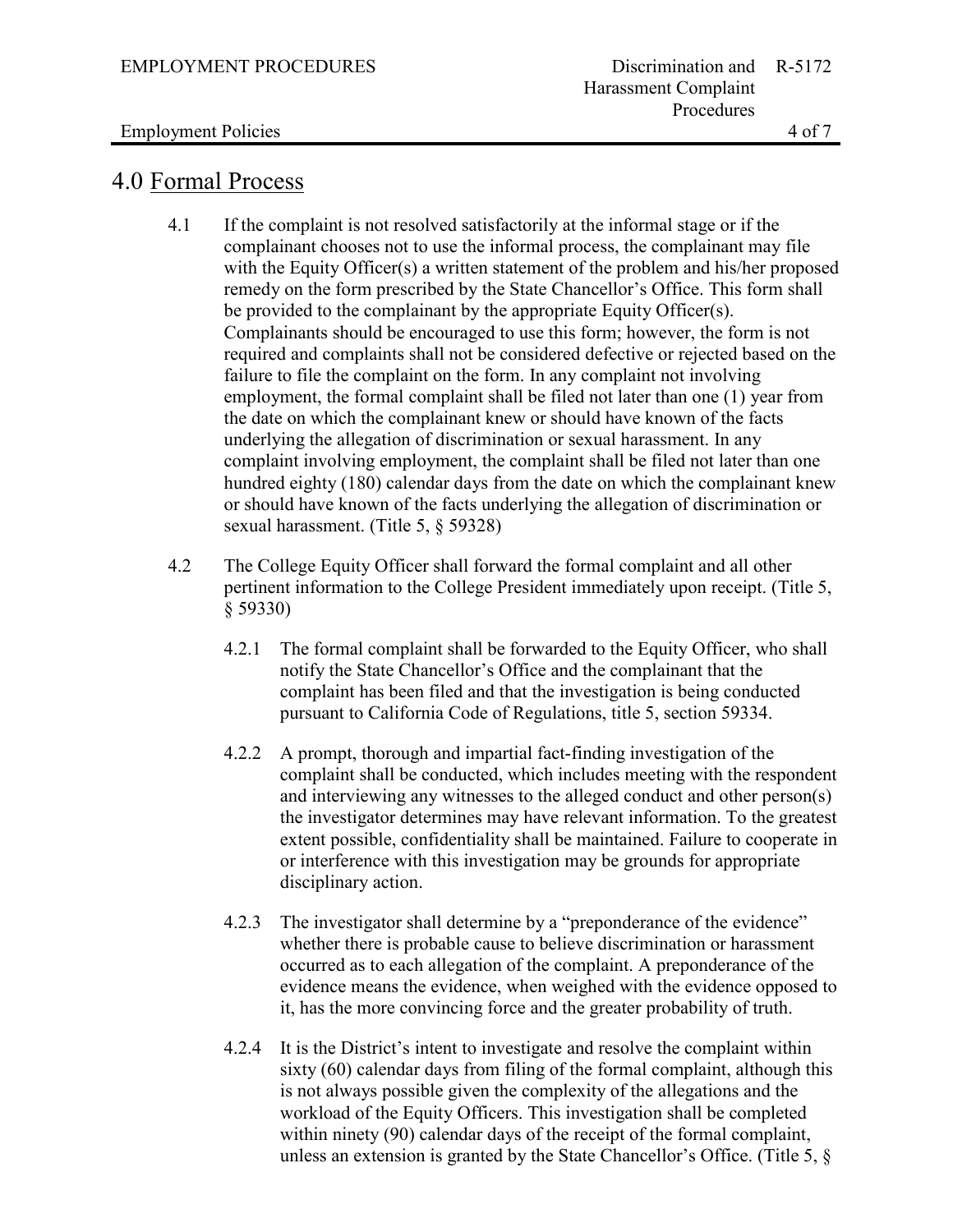### Employment Policies 4 of 7

# 4.0 Formal Process

- 4.1 If the complaint is not resolved satisfactorily at the informal stage or if the complainant chooses not to use the informal process, the complainant may file with the Equity Officer(s) a written statement of the problem and his/her proposed remedy on the form prescribed by the State Chancellor's Office. This form shall be provided to the complainant by the appropriate Equity Officer(s). Complainants should be encouraged to use this form; however, the form is not required and complaints shall not be considered defective or rejected based on the failure to file the complaint on the form. In any complaint not involving employment, the formal complaint shall be filed not later than one (1) year from the date on which the complainant knew or should have known of the facts underlying the allegation of discrimination or sexual harassment. In any complaint involving employment, the complaint shall be filed not later than one hundred eighty (180) calendar days from the date on which the complainant knew or should have known of the facts underlying the allegation of discrimination or sexual harassment. (Title 5, § 59328)
- 4.2 The College Equity Officer shall forward the formal complaint and all other pertinent information to the College President immediately upon receipt. (Title 5, § 59330)
	- 4.2.1 The formal complaint shall be forwarded to the Equity Officer, who shall notify the State Chancellor's Office and the complainant that the complaint has been filed and that the investigation is being conducted pursuant to California Code of Regulations, title 5, section 59334.
	- 4.2.2 A prompt, thorough and impartial fact-finding investigation of the complaint shall be conducted, which includes meeting with the respondent and interviewing any witnesses to the alleged conduct and other person(s) the investigator determines may have relevant information. To the greatest extent possible, confidentiality shall be maintained. Failure to cooperate in or interference with this investigation may be grounds for appropriate disciplinary action.
	- 4.2.3 The investigator shall determine by a "preponderance of the evidence" whether there is probable cause to believe discrimination or harassment occurred as to each allegation of the complaint. A preponderance of the evidence means the evidence, when weighed with the evidence opposed to it, has the more convincing force and the greater probability of truth.
	- 4.2.4 It is the District's intent to investigate and resolve the complaint within sixty (60) calendar days from filing of the formal complaint, although this is not always possible given the complexity of the allegations and the workload of the Equity Officers. This investigation shall be completed within ninety (90) calendar days of the receipt of the formal complaint, unless an extension is granted by the State Chancellor's Office. (Title 5, §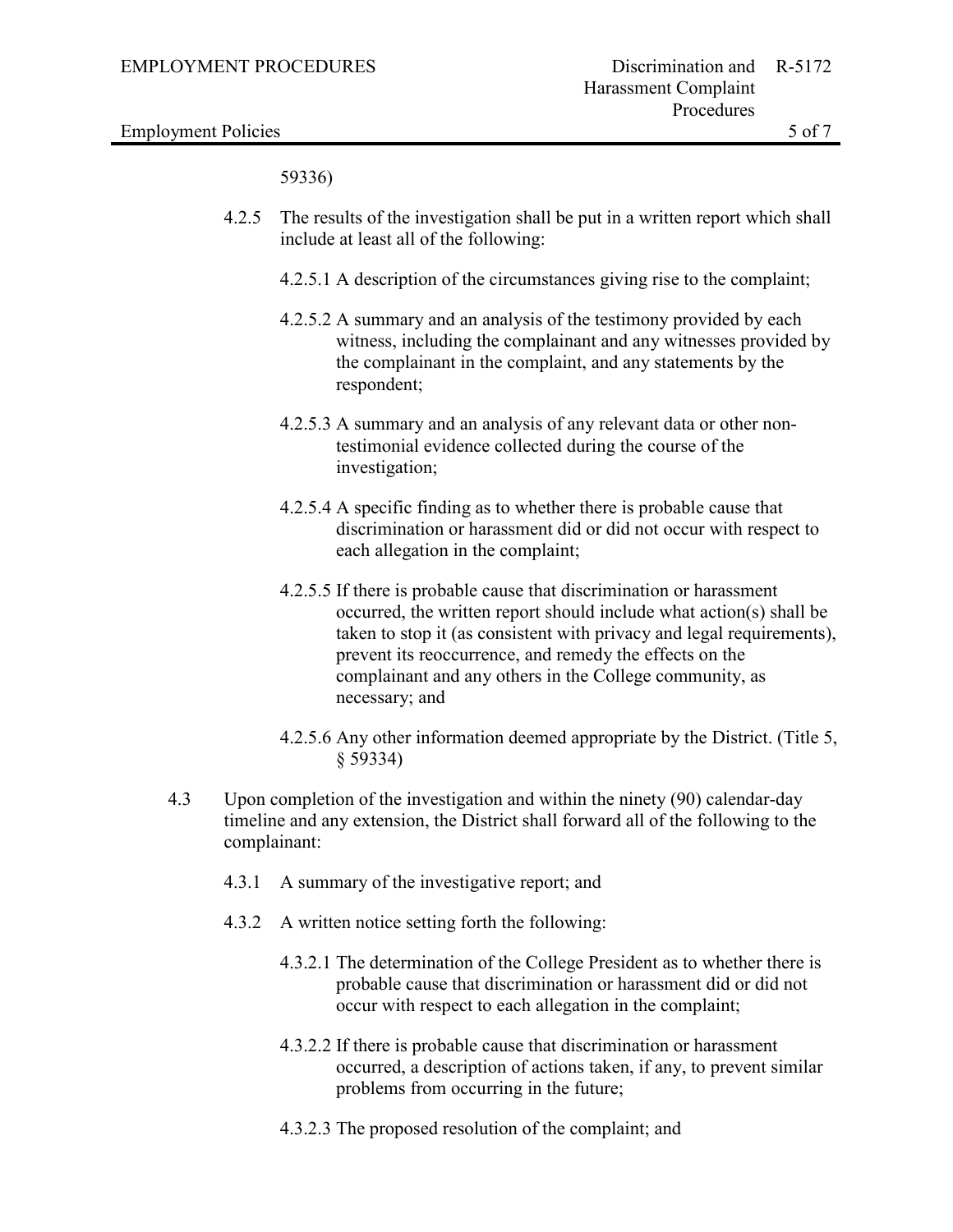Employment Policies 5 of 7

59336)

- 4.2.5 The results of the investigation shall be put in a written report which shall include at least all of the following:
	- 4.2.5.1 A description of the circumstances giving rise to the complaint;
	- 4.2.5.2 A summary and an analysis of the testimony provided by each witness, including the complainant and any witnesses provided by the complainant in the complaint, and any statements by the respondent;
	- 4.2.5.3 A summary and an analysis of any relevant data or other nontestimonial evidence collected during the course of the investigation;
	- 4.2.5.4 A specific finding as to whether there is probable cause that discrimination or harassment did or did not occur with respect to each allegation in the complaint;
	- 4.2.5.5 If there is probable cause that discrimination or harassment occurred, the written report should include what action(s) shall be taken to stop it (as consistent with privacy and legal requirements), prevent its reoccurrence, and remedy the effects on the complainant and any others in the College community, as necessary; and
	- 4.2.5.6 Any other information deemed appropriate by the District. (Title 5, § 59334)
- 4.3 Upon completion of the investigation and within the ninety (90) calendar-day timeline and any extension, the District shall forward all of the following to the complainant:
	- 4.3.1 A summary of the investigative report; and
	- 4.3.2 A written notice setting forth the following:
		- 4.3.2.1 The determination of the College President as to whether there is probable cause that discrimination or harassment did or did not occur with respect to each allegation in the complaint;
		- 4.3.2.2 If there is probable cause that discrimination or harassment occurred, a description of actions taken, if any, to prevent similar problems from occurring in the future;
		- 4.3.2.3 The proposed resolution of the complaint; and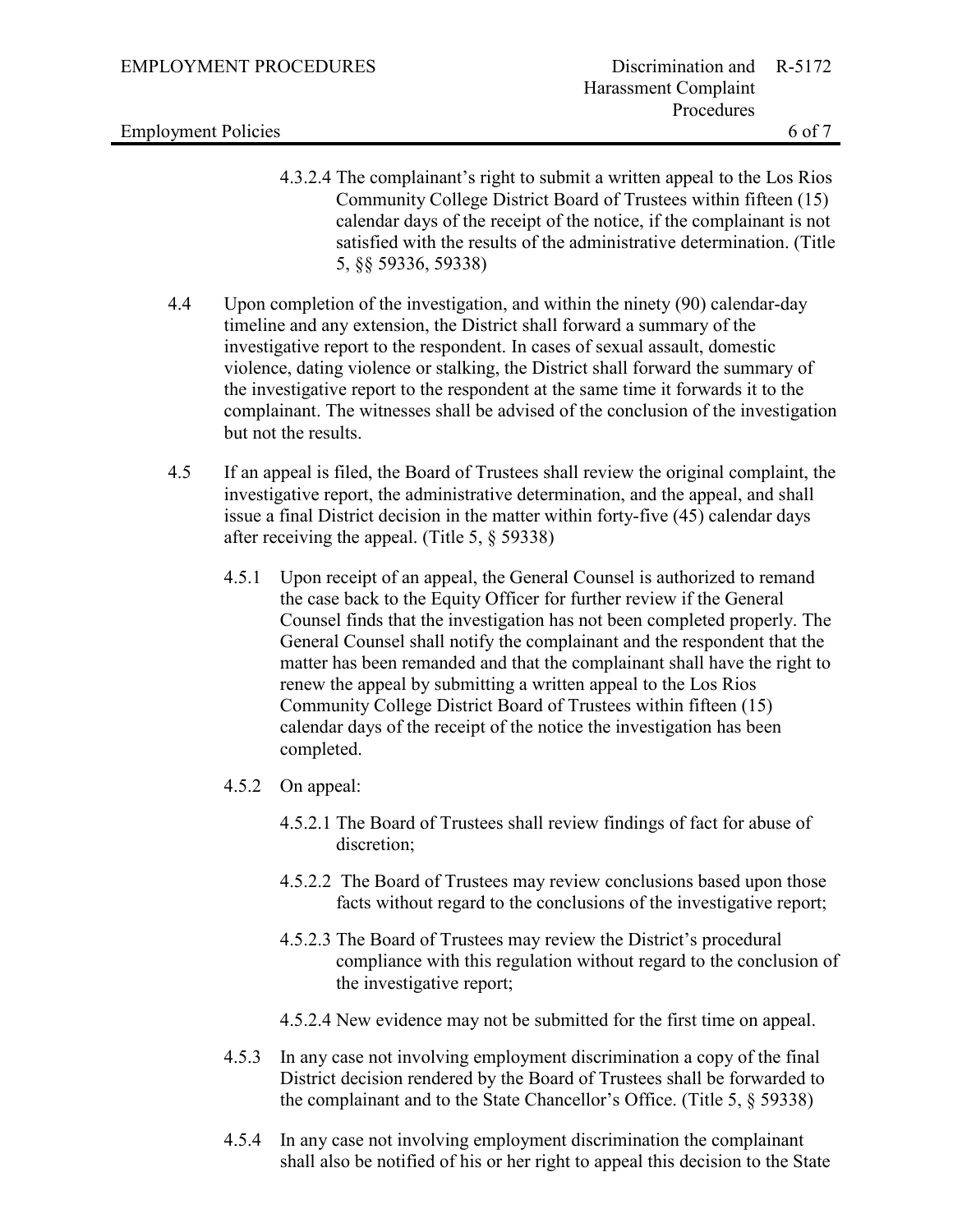Employment Policies 6 of 7

- 4.3.2.4 The complainant's right to submit a written appeal to the Los Rios Community College District Board of Trustees within fifteen (15) calendar days of the receipt of the notice, if the complainant is not satisfied with the results of the administrative determination. (Title 5, §§ 59336, 59338)
- 4.4 Upon completion of the investigation, and within the ninety (90) calendar-day timeline and any extension, the District shall forward a summary of the investigative report to the respondent. In cases of sexual assault, domestic violence, dating violence or stalking, the District shall forward the summary of the investigative report to the respondent at the same time it forwards it to the complainant. The witnesses shall be advised of the conclusion of the investigation but not the results.
- 4.5 If an appeal is filed, the Board of Trustees shall review the original complaint, the investigative report, the administrative determination, and the appeal, and shall issue a final District decision in the matter within forty-five (45) calendar days after receiving the appeal. (Title 5, § 59338)
	- 4.5.1 Upon receipt of an appeal, the General Counsel is authorized to remand the case back to the Equity Officer for further review if the General Counsel finds that the investigation has not been completed properly. The General Counsel shall notify the complainant and the respondent that the matter has been remanded and that the complainant shall have the right to renew the appeal by submitting a written appeal to the Los Rios Community College District Board of Trustees within fifteen (15) calendar days of the receipt of the notice the investigation has been completed.
	- 4.5.2 On appeal:
		- 4.5.2.1 The Board of Trustees shall review findings of fact for abuse of discretion;
		- 4.5.2.2 The Board of Trustees may review conclusions based upon those facts without regard to the conclusions of the investigative report;
		- 4.5.2.3 The Board of Trustees may review the District's procedural compliance with this regulation without regard to the conclusion of the investigative report;
		- 4.5.2.4 New evidence may not be submitted for the first time on appeal.
	- 4.5.3 In any case not involving employment discrimination a copy of the final District decision rendered by the Board of Trustees shall be forwarded to the complainant and to the State Chancellor's Office. (Title 5, § 59338)
	- 4.5.4 In any case not involving employment discrimination the complainant shall also be notified of his or her right to appeal this decision to the State